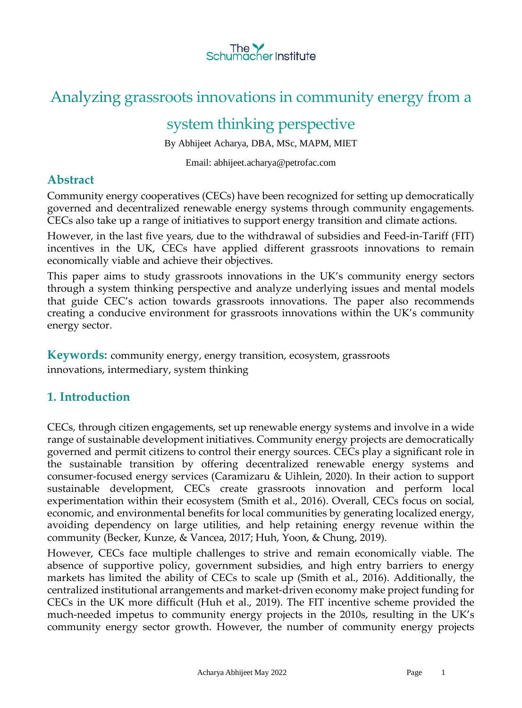

# Analyzing grassroots innovations in community energy from a

# system thinking perspective

By Abhijeet Acharya, DBA, MSc, MAPM, MIET

Email: abhijeet.acharya@petrofac.com

### **Abstract**

Community energy cooperatives (CECs) have been recognized for setting up democratically governed and decentralized renewable energy systems through community engagements. CECs also take up a range of initiatives to support energy transition and climate actions.

However, in the last five years, due to the withdrawal of subsidies and Feed-in-Tariff (FIT) incentives in the UK, CECs have applied different grassroots innovations to remain economically viable and achieve their objectives.

This paper aims to study grassroots innovations in the UK's community energy sectors through a system thinking perspective and analyze underlying issues and mental models that guide CEC's action towards grassroots innovations. The paper also recommends creating a conducive environment for grassroots innovations within the UK's community energy sector.

**Keywords:** community energy, energy transition, ecosystem, grassroots innovations, intermediary, system thinking

### **1. Introduction**

CECs, through citizen engagements, set up renewable energy systems and involve in a wide range of sustainable development initiatives. Community energy projects are democratically governed and permit citizens to control their energy sources. CECs play a significant role in the sustainable transition by offering decentralized renewable energy systems and consumer-focused energy services (Caramizaru & Uihlein, 2020). In their action to support sustainable development, CECs create grassroots innovation and perform local experimentation within their ecosystem (Smith et al., 2016). Overall, CECs focus on social, economic, and environmental benefits for local communities by generating localized energy, avoiding dependency on large utilities, and help retaining energy revenue within the community (Becker, Kunze, & Vancea, 2017; Huh, Yoon, & Chung, 2019).

However, CECs face multiple challenges to strive and remain economically viable. The absence of supportive policy, government subsidies, and high entry barriers to energy markets has limited the ability of CECs to scale up (Smith et al., 2016). Additionally, the centralized institutional arrangements and market-driven economy make project funding for CECs in the UK more difficult (Huh et al., 2019). The FIT incentive scheme provided the much-needed impetus to community energy projects in the 2010s, resulting in the UK's community energy sector growth. However, the number of community energy projects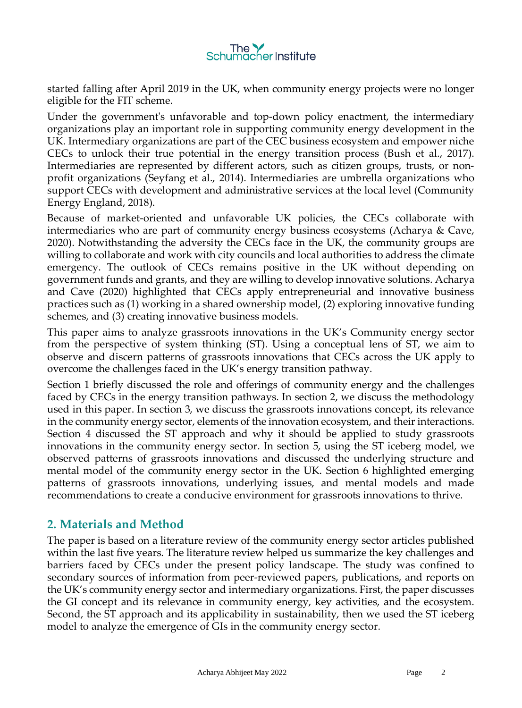

started falling after April 2019 in the UK, when community energy projects were no longer eligible for the FIT scheme.

Under the government's unfavorable and top-down policy enactment, the intermediary organizations play an important role in supporting community energy development in the UK. Intermediary organizations are part of the CEC business ecosystem and empower niche CECs to unlock their true potential in the energy transition process (Bush et al., 2017). Intermediaries are represented by different actors, such as citizen groups, trusts, or nonprofit organizations (Seyfang et al., 2014). Intermediaries are umbrella organizations who support CECs with development and administrative services at the local level (Community Energy England, 2018).

Because of market-oriented and unfavorable UK policies, the CECs collaborate with intermediaries who are part of community energy business ecosystems (Acharya & Cave, 2020). Notwithstanding the adversity the CECs face in the UK, the community groups are willing to collaborate and work with city councils and local authorities to address the climate emergency. The outlook of CECs remains positive in the UK without depending on government funds and grants, and they are willing to develop innovative solutions. Acharya and Cave (2020) highlighted that CECs apply entrepreneurial and innovative business practices such as (1) working in a shared ownership model, (2) exploring innovative funding schemes, and (3) creating innovative business models.

This paper aims to analyze grassroots innovations in the UK's Community energy sector from the perspective of system thinking (ST). Using a conceptual lens of ST, we aim to observe and discern patterns of grassroots innovations that CECs across the UK apply to overcome the challenges faced in the UK's energy transition pathway.

Section 1 briefly discussed the role and offerings of community energy and the challenges faced by CECs in the energy transition pathways. In section 2, we discuss the methodology used in this paper. In section 3, we discuss the grassroots innovations concept, its relevance in the community energy sector, elements of the innovation ecosystem, and their interactions. Section 4 discussed the ST approach and why it should be applied to study grassroots innovations in the community energy sector. In section 5, using the ST iceberg model, we observed patterns of grassroots innovations and discussed the underlying structure and mental model of the community energy sector in the UK. Section 6 highlighted emerging patterns of grassroots innovations, underlying issues, and mental models and made recommendations to create a conducive environment for grassroots innovations to thrive.

### **2. Materials and Method**

The paper is based on a literature review of the community energy sector articles published within the last five years. The literature review helped us summarize the key challenges and barriers faced by CECs under the present policy landscape. The study was confined to secondary sources of information from peer-reviewed papers, publications, and reports on the UK's community energy sector and intermediary organizations. First, the paper discusses the GI concept and its relevance in community energy, key activities, and the ecosystem. Second, the ST approach and its applicability in sustainability, then we used the ST iceberg model to analyze the emergence of GIs in the community energy sector.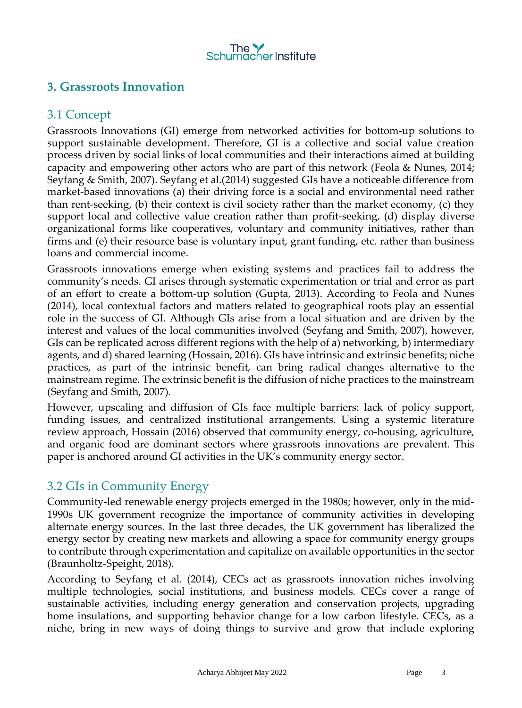

## **3. Grassroots Innovation**

### 3.1 Concept

Grassroots Innovations (GI) emerge from networked activities for bottom-up solutions to support sustainable development. Therefore, GI is a collective and social value creation process driven by social links of local communities and their interactions aimed at building capacity and empowering other actors who are part of this network (Feola & Nunes, 2014; Seyfang & Smith, 2007). Seyfang et al.(2014) suggested GIs have a noticeable difference from market-based innovations (a) their driving force is a social and environmental need rather than rent-seeking, (b) their context is civil society rather than the market economy, (c) they support local and collective value creation rather than profit-seeking, (d) display diverse organizational forms like cooperatives, voluntary and community initiatives, rather than firms and (e) their resource base is voluntary input, grant funding, etc. rather than business loans and commercial income.

Grassroots innovations emerge when existing systems and practices fail to address the community's needs. GI arises through systematic experimentation or trial and error as part of an effort to create a bottom-up solution (Gupta, 2013). According to Feola and Nunes (2014), local contextual factors and matters related to geographical roots play an essential role in the success of GI. Although GIs arise from a local situation and are driven by the interest and values of the local communities involved (Seyfang and Smith, 2007), however, GIs can be replicated across different regions with the help of a) networking, b) intermediary agents, and d) shared learning (Hossain, 2016). GIs have intrinsic and extrinsic benefits; niche practices, as part of the intrinsic benefit, can bring radical changes alternative to the mainstream regime. The extrinsic benefit is the diffusion of niche practices to the mainstream (Seyfang and Smith, 2007).

However, upscaling and diffusion of GIs face multiple barriers: lack of policy support, funding issues, and centralized institutional arrangements. Using a systemic literature review approach, Hossain (2016) observed that community energy, co-housing, agriculture, and organic food are dominant sectors where grassroots innovations are prevalent. This paper is anchored around GI activities in the UK's community energy sector.

## 3.2 GIs in Community Energy

Community-led renewable energy projects emerged in the 1980s; however, only in the mid-1990s UK government recognize the importance of community activities in developing alternate energy sources. In the last three decades, the UK government has liberalized the energy sector by creating new markets and allowing a space for community energy groups to contribute through experimentation and capitalize on available opportunities in the sector (Braunholtz-Speight, 2018).

According to Seyfang et al. (2014), CECs act as grassroots innovation niches involving multiple technologies, social institutions, and business models. CECs cover a range of sustainable activities, including energy generation and conservation projects, upgrading home insulations, and supporting behavior change for a low carbon lifestyle. CECs, as a niche, bring in new ways of doing things to survive and grow that include exploring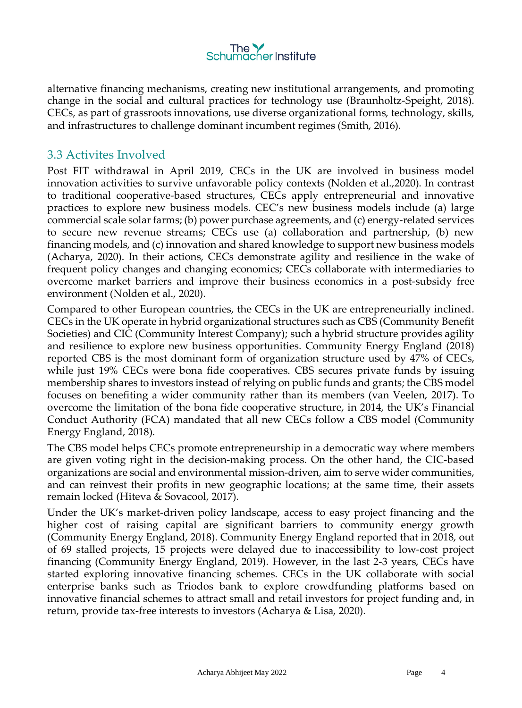

alternative financing mechanisms, creating new institutional arrangements, and promoting change in the social and cultural practices for technology use (Braunholtz-Speight, 2018). CECs, as part of grassroots innovations, use diverse organizational forms, technology, skills, and infrastructures to challenge dominant incumbent regimes (Smith, 2016).

### 3.3 Activites Involved

Post FIT withdrawal in April 2019, CECs in the UK are involved in business model innovation activities to survive unfavorable policy contexts (Nolden et al.,2020). In contrast to traditional cooperative-based structures, CECs apply entrepreneurial and innovative practices to explore new business models. CEC's new business models include (a) large commercial scale solar farms; (b) power purchase agreements, and (c) energy-related services to secure new revenue streams; CECs use (a) collaboration and partnership, (b) new financing models, and (c) innovation and shared knowledge to support new business models (Acharya, 2020). In their actions, CECs demonstrate agility and resilience in the wake of frequent policy changes and changing economics; CECs collaborate with intermediaries to overcome market barriers and improve their business economics in a post-subsidy free environment (Nolden et al., 2020).

Compared to other European countries, the CECs in the UK are entrepreneurially inclined. CECs in the UK operate in hybrid organizational structures such as CBS (Community Benefit Societies) and CIC (Community Interest Company); such a hybrid structure provides agility and resilience to explore new business opportunities. Community Energy England (2018) reported CBS is the most dominant form of organization structure used by 47% of CECs, while just 19% CECs were bona fide cooperatives. CBS secures private funds by issuing membership shares to investors instead of relying on public funds and grants; the CBS model focuses on benefiting a wider community rather than its members (van Veelen, 2017). To overcome the limitation of the bona fide cooperative structure, in 2014, the UK's Financial Conduct Authority (FCA) mandated that all new CECs follow a CBS model (Community Energy England, 2018).

The CBS model helps CECs promote entrepreneurship in a democratic way where members are given voting right in the decision-making process. On the other hand, the CIC-based organizations are social and environmental mission-driven, aim to serve wider communities, and can reinvest their profits in new geographic locations; at the same time, their assets remain locked (Hiteva & Sovacool, 2017).

Under the UK's market-driven policy landscape, access to easy project financing and the higher cost of raising capital are significant barriers to community energy growth (Community Energy England, 2018). Community Energy England reported that in 2018, out of 69 stalled projects, 15 projects were delayed due to inaccessibility to low-cost project financing (Community Energy England, 2019). However, in the last 2-3 years, CECs have started exploring innovative financing schemes. CECs in the UK collaborate with social enterprise banks such as Triodos bank to explore crowdfunding platforms based on innovative financial schemes to attract small and retail investors for project funding and, in return, provide tax-free interests to investors (Acharya & Lisa, 2020).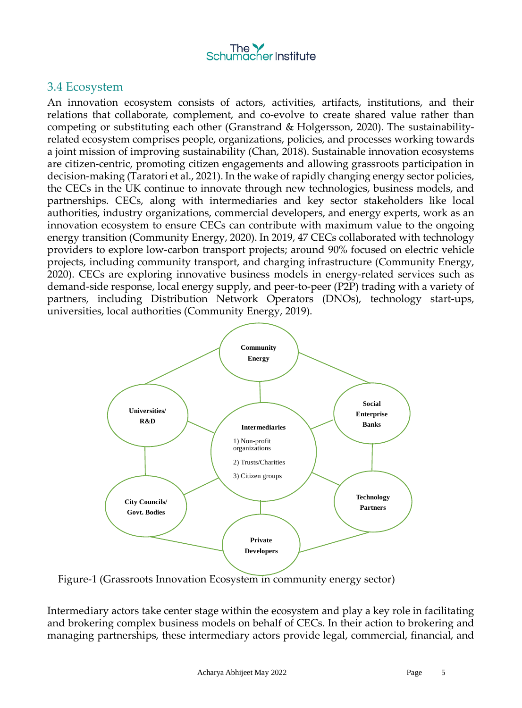

### 3.4 Ecosystem

An innovation ecosystem consists of actors, activities, artifacts, institutions, and their relations that collaborate, complement, and co-evolve to create shared value rather than competing or substituting each other (Granstrand & Holgersson, 2020). The sustainabilityrelated ecosystem comprises people, organizations, policies, and processes working towards a joint mission of improving sustainability (Chan, 2018). Sustainable innovation ecosystems are citizen-centric, promoting citizen engagements and allowing grassroots participation in decision-making (Taratori et al., 2021). In the wake of rapidly changing energy sector policies, the CECs in the UK continue to innovate through new technologies, business models, and partnerships. CECs, along with intermediaries and key sector stakeholders like local authorities, industry organizations, commercial developers, and energy experts, work as an innovation ecosystem to ensure CECs can contribute with maximum value to the ongoing energy transition (Community Energy, 2020). In 2019, 47 CECs collaborated with technology providers to explore low-carbon transport projects; around 90% focused on electric vehicle projects, including community transport, and charging infrastructure (Community Energy, 2020). CECs are exploring innovative business models in energy-related services such as demand-side response, local energy supply, and peer-to-peer (P2P) trading with a variety of partners, including Distribution Network Operators (DNOs), technology start-ups, universities, local authorities (Community Energy, 2019).



Figure-1 (Grassroots Innovation Ecosystem in community energy sector)

Intermediary actors take center stage within the ecosystem and play a key role in facilitating and brokering complex business models on behalf of CECs. In their action to brokering and managing partnerships, these intermediary actors provide legal, commercial, financial, and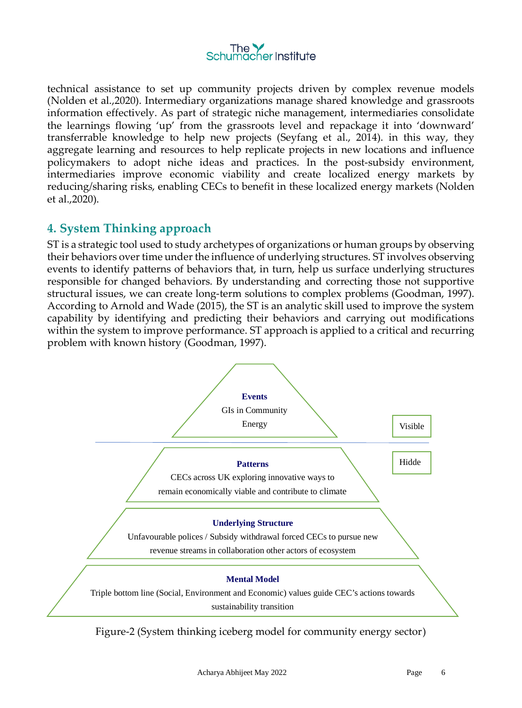# The **Y**<br>Schumacher Institute

technical assistance to set up community projects driven by complex revenue models (Nolden et al.,2020). Intermediary organizations manage shared knowledge and grassroots information effectively. As part of strategic niche management, intermediaries consolidate the learnings flowing 'up' from the grassroots level and repackage it into 'downward' transferrable knowledge to help new projects (Seyfang et al., 2014). in this way, they aggregate learning and resources to help replicate projects in new locations and influence policymakers to adopt niche ideas and practices. In the post-subsidy environment, intermediaries improve economic viability and create localized energy markets by reducing/sharing risks, enabling CECs to benefit in these localized energy markets (Nolden et al.,2020).

### **4. System Thinking approach**

ST is a strategic tool used to study archetypes of organizations or human groups by observing their behaviors over time under the influence of underlying structures. ST involves observing events to identify patterns of behaviors that, in turn, help us surface underlying structures responsible for changed behaviors. By understanding and correcting those not supportive structural issues, we can create long-term solutions to complex problems (Goodman, 1997). According to Arnold and Wade (2015), the ST is an analytic skill used to improve the system capability by identifying and predicting their behaviors and carrying out modifications within the system to improve performance. ST approach is applied to a critical and recurring problem with known history (Goodman, 1997).



Figure-2 (System thinking iceberg model for community energy sector)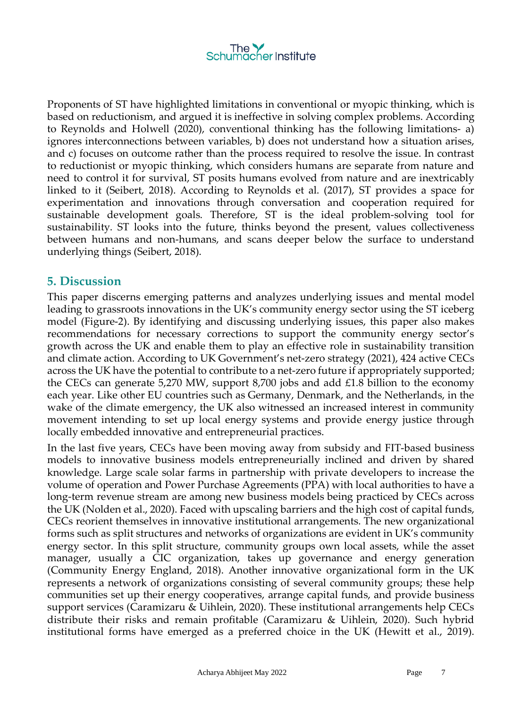

Proponents of ST have highlighted limitations in conventional or myopic thinking, which is based on reductionism, and argued it is ineffective in solving complex problems. According to Reynolds and Holwell (2020), conventional thinking has the following limitations- a) ignores interconnections between variables, b) does not understand how a situation arises, and c) focuses on outcome rather than the process required to resolve the issue. In contrast to reductionist or myopic thinking, which considers humans are separate from nature and need to control it for survival, ST posits humans evolved from nature and are inextricably linked to it (Seibert, 2018). According to Reynolds et al. (2017), ST provides a space for experimentation and innovations through conversation and cooperation required for sustainable development goals. Therefore, ST is the ideal problem-solving tool for sustainability. ST looks into the future, thinks beyond the present, values collectiveness between humans and non-humans, and scans deeper below the surface to understand underlying things (Seibert, 2018).

### **5. Discussion**

This paper discerns emerging patterns and analyzes underlying issues and mental model leading to grassroots innovations in the UK's community energy sector using the ST iceberg model (Figure-2). By identifying and discussing underlying issues, this paper also makes recommendations for necessary corrections to support the community energy sector's growth across the UK and enable them to play an effective role in sustainability transition and climate action. According to UK Government's net-zero strategy (2021), 424 active CECs across the UK have the potential to contribute to a net-zero future if appropriately supported; the CECs can generate 5,270 MW, support 8,700 jobs and add £1.8 billion to the economy each year. Like other EU countries such as Germany, Denmark, and the Netherlands, in the wake of the climate emergency, the UK also witnessed an increased interest in community movement intending to set up local energy systems and provide energy justice through locally embedded innovative and entrepreneurial practices.

In the last five years, CECs have been moving away from subsidy and FIT-based business models to innovative business models entrepreneurially inclined and driven by shared knowledge. Large scale solar farms in partnership with private developers to increase the volume of operation and Power Purchase Agreements (PPA) with local authorities to have a long-term revenue stream are among new business models being practiced by CECs across the UK (Nolden et al., 2020). Faced with upscaling barriers and the high cost of capital funds, CECs reorient themselves in innovative institutional arrangements. The new organizational forms such as split structures and networks of organizations are evident in UK's community energy sector. In this split structure, community groups own local assets, while the asset manager, usually a CIC organization, takes up governance and energy generation (Community Energy England, 2018). Another innovative organizational form in the UK represents a network of organizations consisting of several community groups; these help communities set up their energy cooperatives, arrange capital funds, and provide business support services (Caramizaru & Uihlein, 2020). These institutional arrangements help CECs distribute their risks and remain profitable (Caramizaru & Uihlein, 2020). Such hybrid institutional forms have emerged as a preferred choice in the UK (Hewitt et al., 2019).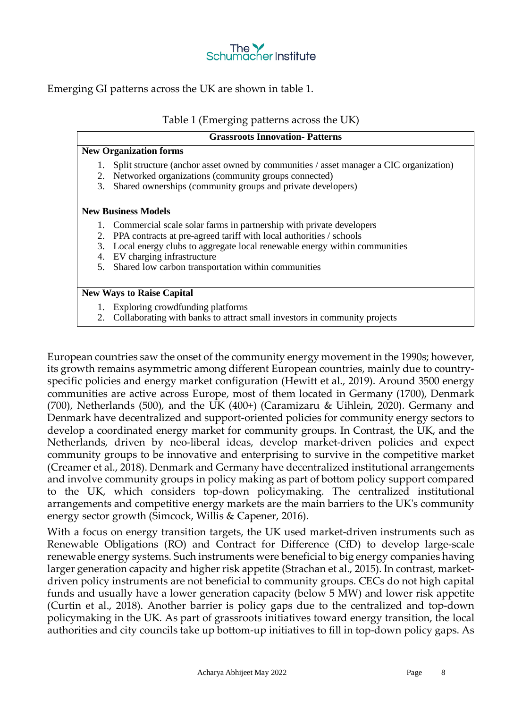

### Emerging GI patterns across the UK are shown in table 1.

#### Table 1 (Emerging patterns across the UK)

| <b>Grassroots Innovation-Patterns</b> |                                                                                        |  |  |
|---------------------------------------|----------------------------------------------------------------------------------------|--|--|
| <b>New Organization forms</b>         |                                                                                        |  |  |
|                                       | Split structure (anchor asset owned by communities / asset manager a CIC organization) |  |  |
|                                       | 2. Networked organizations (community groups connected)                                |  |  |
| 3.                                    | Shared ownerships (community groups and private developers)                            |  |  |
|                                       |                                                                                        |  |  |
| <b>New Business Models</b>            |                                                                                        |  |  |
|                                       | 1. Commercial scale solar farms in partnership with private developers                 |  |  |
|                                       | 2. PPA contracts at pre-agreed tariff with local authorities / schools                 |  |  |
|                                       | 3. Local energy clubs to aggregate local renewable energy within communities           |  |  |
|                                       | 4. EV charging infrastructure                                                          |  |  |
|                                       | 5. Shared low carbon transportation within communities                                 |  |  |
|                                       |                                                                                        |  |  |
| <b>New Ways to Raise Capital</b>      |                                                                                        |  |  |
|                                       | 1. Exploring crowdfunding platforms                                                    |  |  |
|                                       | Collaborating with banks to attract small investors in community projects              |  |  |

European countries saw the onset of the community energy movement in the 1990s; however, its growth remains asymmetric among different European countries, mainly due to countryspecific policies and energy market configuration (Hewitt et al., 2019). Around 3500 energy communities are active across Europe, most of them located in Germany (1700), Denmark (700), Netherlands (500), and the UK (400+) (Caramizaru & Uihlein, 2020). Germany and Denmark have decentralized and support-oriented policies for community energy sectors to develop a coordinated energy market for community groups. In Contrast, the UK, and the Netherlands, driven by neo-liberal ideas, develop market-driven policies and expect community groups to be innovative and enterprising to survive in the competitive market (Creamer et al., 2018). Denmark and Germany have decentralized institutional arrangements and involve community groups in policy making as part of bottom policy support compared to the UK, which considers top-down policymaking. The centralized institutional arrangements and competitive energy markets are the main barriers to the UK's community energy sector growth (Simcock, Willis & Capener, 2016).

With a focus on energy transition targets, the UK used market-driven instruments such as Renewable Obligations (RO) and Contract for Difference (CfD) to develop large-scale renewable energy systems. Such instruments were beneficial to big energy companies having larger generation capacity and higher risk appetite (Strachan et al., 2015). In contrast, marketdriven policy instruments are not beneficial to community groups. CECs do not high capital funds and usually have a lower generation capacity (below 5 MW) and lower risk appetite (Curtin et al., 2018). Another barrier is policy gaps due to the centralized and top-down policymaking in the UK. As part of grassroots initiatives toward energy transition, the local authorities and city councils take up bottom-up initiatives to fill in top-down policy gaps. As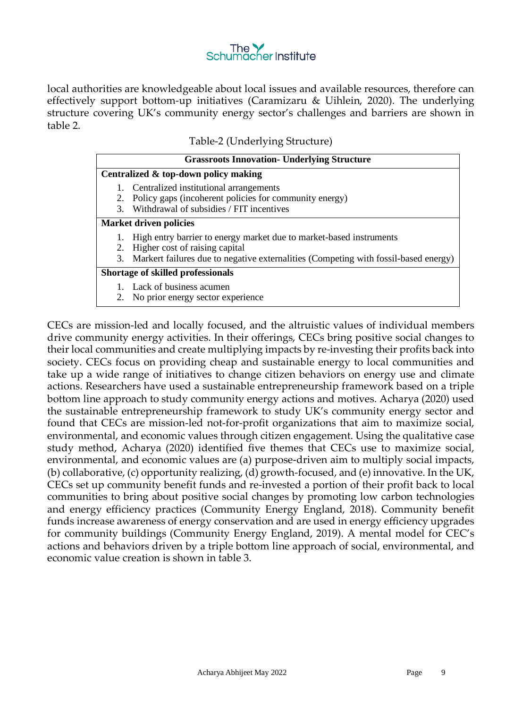# The **Y**<br>Schumacher Institute

local authorities are knowledgeable about local issues and available resources, therefore can effectively support bottom-up initiatives (Caramizaru & Uihlein, 2020). The underlying structure covering UK's community energy sector's challenges and barriers are shown in table 2.

Table-2 (Underlying Structure)

| <b>Grassroots Innovation- Underlying Structure</b> |                                                                                                                                                                                                 |  |  |
|----------------------------------------------------|-------------------------------------------------------------------------------------------------------------------------------------------------------------------------------------------------|--|--|
| Centralized & top-down policy making               |                                                                                                                                                                                                 |  |  |
|                                                    | 1. Centralized institutional arrangements<br>2. Policy gaps (incoherent policies for community energy)<br>3. Withdrawal of subsidies / FIT incentives                                           |  |  |
| <b>Market driven policies</b>                      |                                                                                                                                                                                                 |  |  |
|                                                    | High entry barrier to energy market due to market-based instruments<br>Higher cost of raising capital<br>3. Markert failures due to negative externalities (Competing with fossil-based energy) |  |  |
| Shortage of skilled professionals                  |                                                                                                                                                                                                 |  |  |
| 2.                                                 | 1. Lack of business acumen<br>No prior energy sector experience                                                                                                                                 |  |  |

CECs are mission-led and locally focused, and the altruistic values of individual members drive community energy activities. In their offerings, CECs bring positive social changes to their local communities and create multiplying impacts by re-investing their profits back into society. CECs focus on providing cheap and sustainable energy to local communities and take up a wide range of initiatives to change citizen behaviors on energy use and climate actions. Researchers have used a sustainable entrepreneurship framework based on a triple bottom line approach to study community energy actions and motives. Acharya (2020) used the sustainable entrepreneurship framework to study UK's community energy sector and found that CECs are mission-led not-for-profit organizations that aim to maximize social, environmental, and economic values through citizen engagement. Using the qualitative case study method, Acharya (2020) identified five themes that CECs use to maximize social, environmental, and economic values are (a) purpose-driven aim to multiply social impacts, (b) collaborative, (c) opportunity realizing, (d) growth-focused, and (e) innovative. In the UK, CECs set up community benefit funds and re-invested a portion of their profit back to local communities to bring about positive social changes by promoting low carbon technologies and energy efficiency practices (Community Energy England, 2018). Community benefit funds increase awareness of energy conservation and are used in energy efficiency upgrades for community buildings (Community Energy England, 2019). A mental model for CEC's actions and behaviors driven by a triple bottom line approach of social, environmental, and economic value creation is shown in table 3.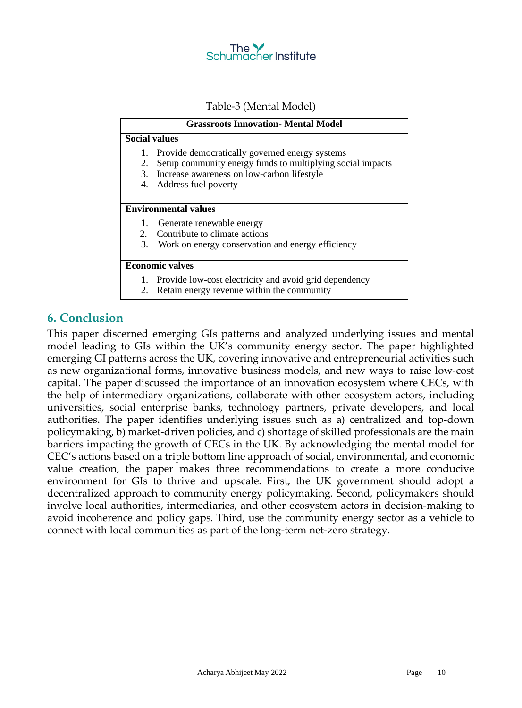

### Table-3 (Mental Model)

| <b>Grassroots Innovation- Mental Model</b> |                                                                                                                                                                                          |  |
|--------------------------------------------|------------------------------------------------------------------------------------------------------------------------------------------------------------------------------------------|--|
| <b>Social values</b>                       |                                                                                                                                                                                          |  |
| 1.<br>2.                                   | Provide democratically governed energy systems<br>Setup community energy funds to multiplying social impacts<br>3. Increase awareness on low-carbon lifestyle<br>4. Address fuel poverty |  |
| <b>Environmental values</b>                |                                                                                                                                                                                          |  |
| 3.                                         | 1. Generate renewable energy<br>2. Contribute to climate actions<br>Work on energy conservation and energy efficiency                                                                    |  |
| <b>Economic valves</b>                     |                                                                                                                                                                                          |  |
|                                            | 1. Provide low-cost electricity and avoid grid dependency                                                                                                                                |  |

2. Retain energy revenue within the community

### **6. Conclusion**

This paper discerned emerging GIs patterns and analyzed underlying issues and mental model leading to GIs within the UK's community energy sector. The paper highlighted emerging GI patterns across the UK, covering innovative and entrepreneurial activities such as new organizational forms, innovative business models, and new ways to raise low-cost capital. The paper discussed the importance of an innovation ecosystem where CECs, with the help of intermediary organizations, collaborate with other ecosystem actors, including universities, social enterprise banks, technology partners, private developers, and local authorities. The paper identifies underlying issues such as a) centralized and top-down policymaking, b) market-driven policies, and c) shortage of skilled professionals are the main barriers impacting the growth of CECs in the UK. By acknowledging the mental model for CEC's actions based on a triple bottom line approach of social, environmental, and economic value creation, the paper makes three recommendations to create a more conducive environment for GIs to thrive and upscale. First, the UK government should adopt a decentralized approach to community energy policymaking. Second, policymakers should involve local authorities, intermediaries, and other ecosystem actors in decision-making to avoid incoherence and policy gaps. Third, use the community energy sector as a vehicle to connect with local communities as part of the long-term net-zero strategy.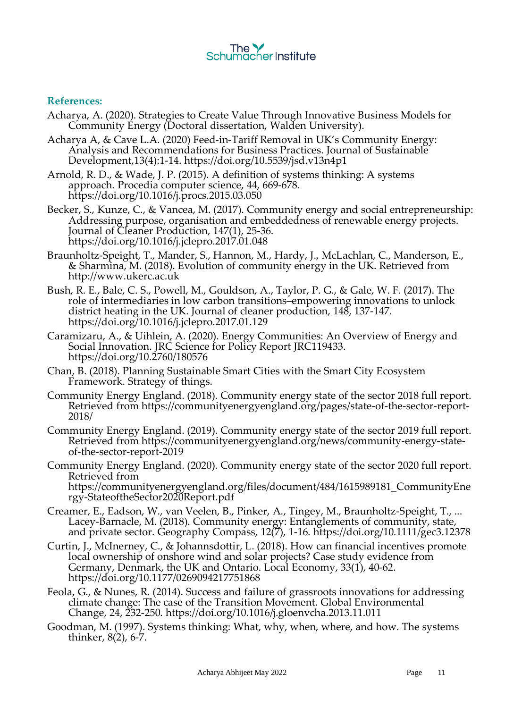

#### **References:**

- Acharya, A. (2020). Strategies to Create Value Through Innovative Business Models for Community Energy (Doctoral dissertation, Walden University).
- Acharya A, & Cave L.A. (2020) Feed-in-Tariff Removal in UK's Community Energy: Analysis and Recommendations for Business Practices. Journal of Sustainable Development,13(4):1-14. https://doi.org[/10.5539/jsd.v13n4p1](https://doi.org/10.5539/jsd.v13n4p1)
- Arnold, R. D., & Wade, J. P. (2015). A definition of systems thinking: A systems approach. Procedia computer science, 44, 669-678. https://doi.org/10.1016/j.procs.2015.03.050
- Becker, S., Kunze, C., & Vancea, M. (2017). Community energy and social entrepreneurship: Addressing purpose, organisation and embeddedness of renewable energy projects. Journal of Cleaner Production, 147(1), 25-36. https://doi.org/10.1016/j.jclepro.2017.01.048
- Braunholtz-Speight, T., Mander, S., Hannon, M., Hardy, J., McLachlan, C., Manderson, E., & Sharmina, M. (2018). Evolution of community energy in the UK. Retrieved from http://www.ukerc.ac.uk
- Bush, R. E., Bale, C. S., Powell, M., Gouldson, A., Taylor, P. G., & Gale, W. F. (2017). The role of intermediaries in low carbon transitions–empowering innovations to unlock district heating in the UK. Journal of cleaner production, 148, 137-147. https://doi.org/10.1016/j.jclepro.2017.01.129
- Caramizaru, A., & Uihlein, A. (2020). Energy Communities: An Overview of Energy and Social Innovation. JRC Science for Policy Report JRC119433. https://doi.org/10.2760/180576
- Chan, B. (2018). Planning Sustainable Smart Cities with the Smart City Ecosystem Framework. Strategy of things.
- Community Energy England. (2018). Community energy state of the sector 2018 full report. Retrieved from https://communityenergyengland.org/pages/state-of-the-sector-report-2018/
- Community Energy England. (2019). Community energy state of the sector 2019 full report. Retrieved from https://communityenergyengland.org/news/community-energy-stateof-the-sector-report-2019
- Community Energy England. (2020). Community energy state of the sector 2020 full report. Retrieved from https://communityenergyengland.org/files/document/484/1615989181\_CommunityEne rgy-StateoftheSector2020Report.pdf
- Creamer, E., Eadson, W., van Veelen, B., Pinker, A., Tingey, M., Braunholtz-Speight, T., ... Lacey-Barnacle, M. (2018). Community energy: Entanglements of community, state, and private sector. Geography Compass, 12(7), 1-16. https://doi.org/10.1111/gec3.12378
- Curtin, J., McInerney, C., & Johannsdottir, L. (2018). How can financial incentives promote local ownership of onshore wind and solar projects? Case study evidence from Germany, Denmark, the UK and Ontario. Local Economy, 33(1), 40-62. https://doi.org/10.1177/0269094217751868
- Feola, G., & Nunes, R. (2014). Success and failure of grassroots innovations for addressing climate change: The case of the Transition Movement. Global Environmental Change, 24, 232-250. https://doi.org/10.1016/j.gloenvcha.2013.11.011
- Goodman, M. (1997). Systems thinking: What, why, when, where, and how. The systems thinker, 8(2), 6-7.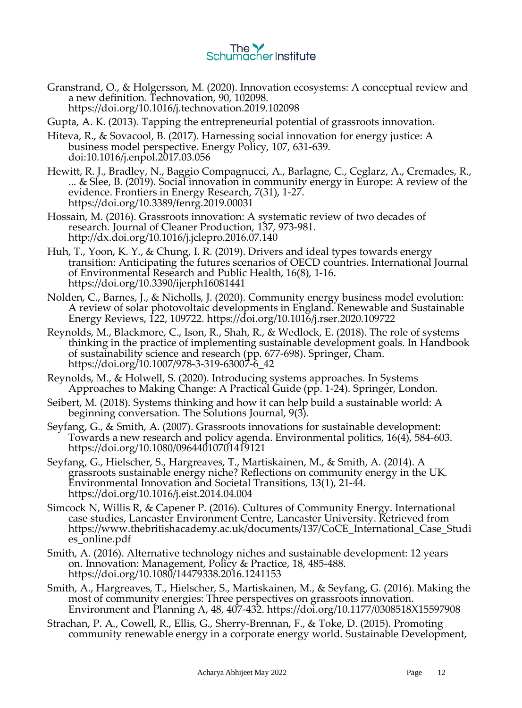

Granstrand, O., & Holgersson, M. (2020). Innovation ecosystems: A conceptual review and a new definition. Technovation, 90, 102098. https://doi.org/10.1016/j.technovation.2019.102098

Gupta, A. K. (2013). Tapping the entrepreneurial potential of grassroots innovation.

- Hiteva, R., & Sovacool, B. (2017). Harnessing social innovation for energy justice: A business model perspective. Energy Policy, 107, 631-639. doi[:10.1016/j.enpol.2017.03.056](https://doi.org/10.1016/j.enpol.2017.03.056)
- Hewitt, R. J., Bradley, N., Baggio Compagnucci, A., Barlagne, C., Ceglarz, A., Cremades, R., ... & Slee, B. (2019). Social innovation in community energy in Europe: A review of the evidence. Frontiers in Energy Research, 7(31), 1-27. https://doi.org/10.3389/fenrg.2019.00031
- Hossain, M. (2016). Grassroots innovation: A systematic review of two decades of research. Journal of Cleaner Production, 137, 973-981. http://dx.doi.org/10.1016/j.jclepro.2016.07.140
- Huh, T., Yoon, K. Y., & Chung, I. R. (2019). Drivers and ideal types towards energy transition: Anticipating the futures scenarios of OECD countries. International Journal of Environmental Research and Public Health, 16(8), 1-16. https://doi.org/10.3390/ijerph16081441
- Nolden, C., Barnes, J., & Nicholls, J. (2020). Community energy business model evolution: A review of solar photovoltaic developments in England. Renewable and Sustainable Energy Reviews, 122, 109722. https://doi.org/10.1016/j.rser.2020.109722
- Reynolds, M., Blackmore, C., Ison, R., Shah, R., & Wedlock, E. (2018). The role of systems thinking in the practice of implementing sustainable development goals. In Handbook of sustainability science and research (pp. 677-698). Springer, Cham. https://doi.org/10.1007/978-3-319-63007-6\_42
- Reynolds, M., & Holwell, S. (2020). Introducing systems approaches. In Systems Approaches to Making Change: A Practical Guide (pp. 1-24). Springer, London.
- Seibert, M. (2018). Systems thinking and how it can help build a sustainable world: A beginning conversation. The Solutions Journal, 9(3).
- Seyfang, G., & Smith, A. (2007). Grassroots innovations for sustainable development: Towards a new research and policy agenda. Environmental politics, 16(4), 584-603. https://doi.org/10.1080/09644010701419121
- Seyfang, G., Hielscher, S., Hargreaves, T., Martiskainen, M., & Smith, A. (2014). A grassroots sustainable energy niche? Reflections on community energy in the UK. Environmental Innovation and Societal Transitions, 13(1), 21-44. https://doi.org/10.1016/j.eist.2014.04.004
- Simcock N, Willis R, & Capener P. (2016). Cultures of Community Energy. International case studies, Lancaster Environment Centre, Lancaster University. Retrieved from https://www.thebritishacademy.ac.uk/documents/137/CoCE\_International\_Case\_Studi es\_online.pdf
- Smith, A. (2016). Alternative technology niches and sustainable development: 12 years on. Innovation: Management, Policy & Practice, 18, 485-488. https://doi.org/10.1080/14479338.2016.1241153
- Smith, A., Hargreaves, T., Hielscher, S., Martiskainen, M., & Seyfang, G. (2016). Making the most of community energies: Three perspectives on grassroots innovation. Environment and Planning A, 48, 407-432. https://doi.org/10.1177/0308518X15597908
- Strachan, P. A., Cowell, R., Ellis, G., Sherry-Brennan, F., & Toke, D. (2015). Promoting community renewable energy in a corporate energy world. Sustainable Development,